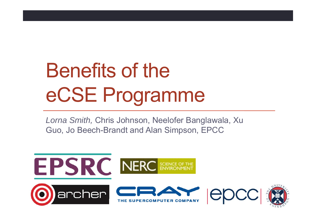# Benefits of the eCSE Programme

*Lorna Smith,* Chris Johnson, Neelofer Banglawala, Xu Guo, Jo Beech-Brandt and Alan Simpson, EPCC

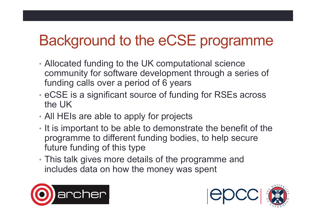# Background to the eCSE programme

- Allocated funding to the UK computational science community for software development through a series of funding calls over a period of 6 years
- eCSE is a significant source of funding for RSEs across the UK
- All HEIs are able to apply for projects
- It is important to be able to demonstrate the benefit of the programme to different funding bodies, to help secure future funding of this type
- This talk gives more details of the programme and includes data on how the money was spent



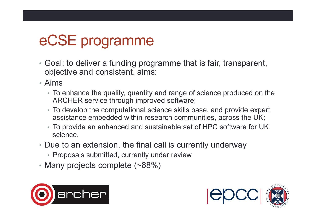# eCSE programme

- Goal: to deliver a funding programme that is fair, transparent, objective and consistent. aims:
- Aims
	- To enhance the quality, quantity and range of science produced on the ARCHER service through improved software;
	- To develop the computational science skills base, and provide expert assistance embedded within research communities, across the UK;
	- To provide an enhanced and sustainable set of HPC software for UK science.
- Due to an extension, the final call is currently underway
	- Proposals submitted, currently under review
- Many projects complete (~88%)



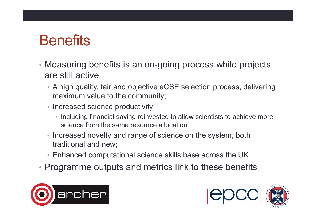# **Benefits**

- Measuring benefits is an on-going process while projects are still active
	- A high quality, fair and objective eCSE selection process, delivering maximum value to the community;
	- Increased science productivity;
		- Including financial saving reinvested to allow scientists to achieve more science from the same resource allocation
	- Increased novelty and range of science on the system, both traditional and new;
	- Enhanced computational science skills base across the UK.
- Programme outputs and metrics link to these benefits



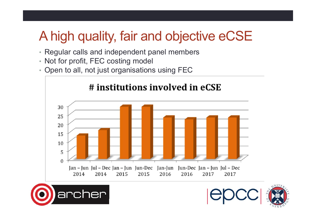### A high quality, fair and objective eCSE

- Regular calls and independent panel members
- Not for profit, FEC costing model
- Open to all, not just organisations using FEC





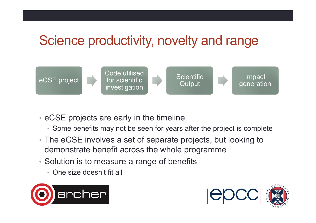#### Science productivity, novelty and range



- eCSE projects are early in the timeline
	- Some benefits may not be seen for years after the project is complete
- The eCSE involves a set of separate projects, but looking to demonstrate benefit across the whole programme
- Solution is to measure a range of benefits
	- One size doesn't fit all



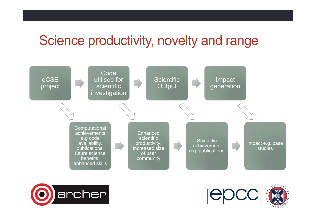#### Science productivity, novelty and range



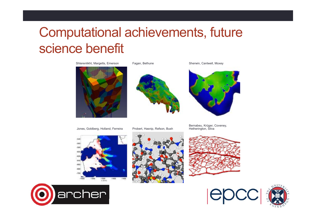#### Computational achievements, future science benefit





Jones, Goldberg, Holland, Ferreira Probert, Hasnip, Refson, Bush







Bernabeu, Krüger, Coveney, Hetherington, Silva











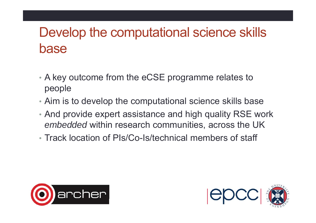#### Develop the computational science skills base

- A key outcome from the eCSE programme relates to people
- Aim is to develop the computational science skills base
- And provide expert assistance and high quality RSE work *embedded* within research communities, across the UK
- Track location of PIs/Co-Is/technical members of staff



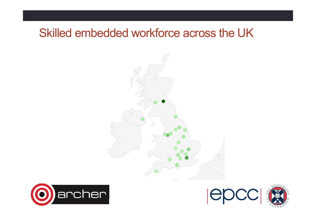#### Skilled embedded workforce across the UK







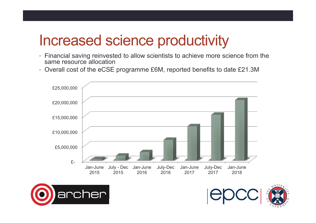# Increased science productivity

- Financial saving reinvested to allow scientists to achieve more science from the same resource allocation
- Overall cost of the eCSE programme £6M, reported benefits to date £21.3M





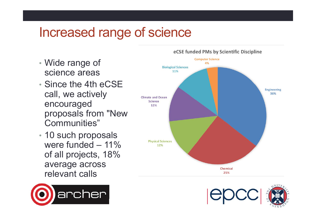#### Increased range of science

- Wide range of science areas
- Since the 4th eCSEcall, we actively encouraged proposals from "New Communities"
- 10 such proposals were funded – 11% of all projects, 18% average across relevant calls





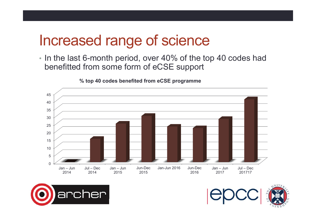### Increased range of science

• In the last 6-month period, over 40% of the top 40 codes had benefitted from some form of eCSE support



**% top 40 codes benefited from eCSE programme**